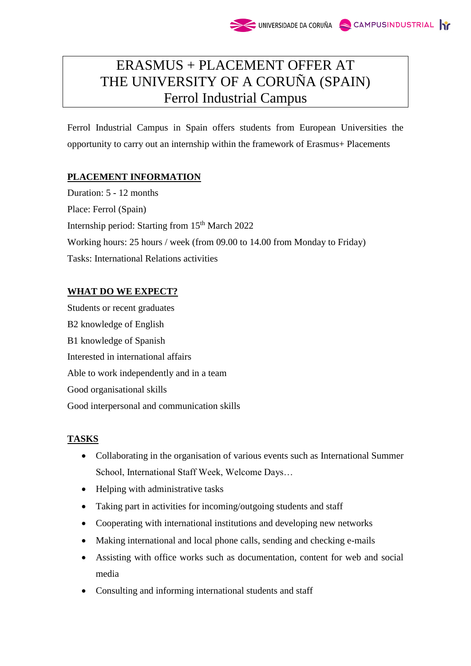# ERASMUS + PLACEMENT OFFER AT THE UNIVERSITY OF A CORUÑA (SPAIN) Ferrol Industrial Campus

Ferrol Industrial Campus in Spain offers students from European Universities the opportunity to carry out an internship within the framework of Erasmus+ Placements

# **PLACEMENT INFORMATION**

Duration: 5 - 12 months Place: Ferrol (Spain) Internship period: Starting from 15<sup>th</sup> March 2022 Working hours: 25 hours / week (from 09.00 to 14.00 from Monday to Friday) Tasks: International Relations activities

# **WHAT DO WE EXPECT?**

Students or recent graduates B2 knowledge of English B1 knowledge of Spanish Interested in international affairs Able to work independently and in a team Good organisational skills Good interpersonal and communication skills

## **TASKS**

- Collaborating in the organisation of various events such as International Summer School, International Staff Week, Welcome Days…
- Helping with administrative tasks
- Taking part in activities for incoming/outgoing students and staff
- Cooperating with international institutions and developing new networks
- Making international and local phone calls, sending and checking e-mails
- Assisting with office works such as documentation, content for web and social media
- Consulting and informing international students and staff